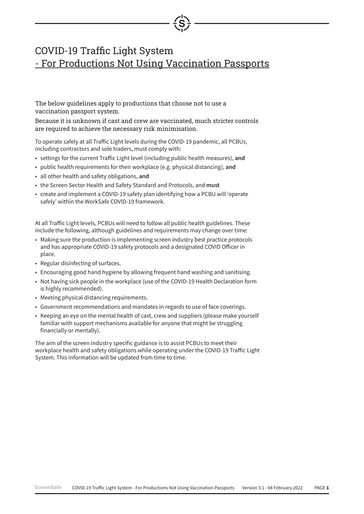## COVID-19 Traffic Light System - For Productions Not Using Vaccination Passports

The below guidelines apply to productions that choose not to use a vaccination passport system.

Because it is unknown if cast and crew are vaccinated, much stricter controls are required to achieve the necessary risk minimisation.

To operate safely at all Traffic Light levels during the COVID-19 pandemic, all PCBUs, including contractors and sole traders, must comply with:

- settings for the current Traffic Light level (including public health measures), **and**
- public health requirements for their workplace (e.g. physical distancing), **and**
- all other health and safety obligations, **and**
- the Screen Sector Health and Safety Standard and Protocols, and **must**
- create and implement a COVID-19 safety plan identifying how a PCBU will 'operate safely' within the WorkSafe COVID-19 framework.

At all Traffic Light levels, PCBUs will need to follow all public health guidelines. These include the following, although guidelines and requirements may change over time:

- Making sure the production is implementing screen industry best practice protocols and has appropriate COVID-19 safety protocols and a designated COVID Officer in place.
- Regular disinfecting of surfaces.
- Encouraging good hand hygiene by allowing frequent hand washing and sanitising.
- Not having sick people in the workplace (use of the COVID-19 Health Declaration form is highly recommended).
- Meeting physical distancing requirements.
- Government recommendations and mandates in regards to use of face coverings.
- Keeping an eye on the mental health of cast, crew and suppliers (please make yourself familiar with support mechanisms available for anyone that might be struggling financially or mentally).

The aim of the screen industry specific guidance is to assist PCBUs to meet their workplace health and safety obligations while operating under the COVID-19 Traffic Light System. This information will be updated from time to time.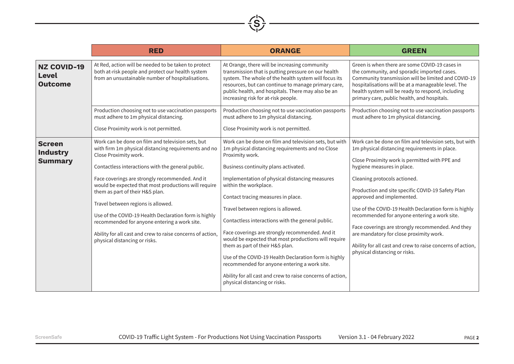|                                                      | <b>RED</b>                                                                                                                                                                                                                                                                                                                                                                                                                                                                                                                                         | <b>ORANGE</b>                                                                                                                                                                                                                                                                                                                                                                                                                        | <b>GREEN</b>                                                                                                                                                                                                                                                                                                                                                                                                                                                                                                       |
|------------------------------------------------------|----------------------------------------------------------------------------------------------------------------------------------------------------------------------------------------------------------------------------------------------------------------------------------------------------------------------------------------------------------------------------------------------------------------------------------------------------------------------------------------------------------------------------------------------------|--------------------------------------------------------------------------------------------------------------------------------------------------------------------------------------------------------------------------------------------------------------------------------------------------------------------------------------------------------------------------------------------------------------------------------------|--------------------------------------------------------------------------------------------------------------------------------------------------------------------------------------------------------------------------------------------------------------------------------------------------------------------------------------------------------------------------------------------------------------------------------------------------------------------------------------------------------------------|
| <b>NZ COVID-19</b><br><b>Level</b><br><b>Outcome</b> | At Red, action will be needed to be taken to protect<br>both at-risk people and protect our health system<br>from an unsustainable number of hospitalisations.                                                                                                                                                                                                                                                                                                                                                                                     | At Orange, there will be increasing community<br>transmission that is putting pressure on our health<br>system. The whole of the health system will focus its<br>resources, but can continue to manage primary care,<br>public health, and hospitals. There may also be an<br>increasing risk for at-risk people.                                                                                                                    | Green is when there are some COVID-19 cases in<br>the community, and sporadic imported cases.<br>Community transmission will be limited and COVID-19<br>hospitalisations will be at a manageable level. The<br>health system will be ready to respond, including<br>primary care, public health, and hospitals.                                                                                                                                                                                                    |
|                                                      | Production choosing not to use vaccination passports<br>must adhere to 1m physical distancing.                                                                                                                                                                                                                                                                                                                                                                                                                                                     | Production choosing not to use vaccination passports<br>must adhere to 1m physical distancing.                                                                                                                                                                                                                                                                                                                                       | Production choosing not to use vaccination passports<br>must adhere to 1m physical distancing.                                                                                                                                                                                                                                                                                                                                                                                                                     |
|                                                      | Close Proximity work is not permitted.                                                                                                                                                                                                                                                                                                                                                                                                                                                                                                             | Close Proximity work is not permitted.                                                                                                                                                                                                                                                                                                                                                                                               |                                                                                                                                                                                                                                                                                                                                                                                                                                                                                                                    |
| <b>Screen</b><br>Industry<br><b>Summary</b>          | Work can be done on film and television sets, but<br>with firm 1m physical distancing requirements and no<br>Close Proximity work.<br>Contactless interactions with the general public.<br>Face coverings are strongly recommended. And it<br>would be expected that most productions will require<br>them as part of their H&S plan.<br>Travel between regions is allowed.<br>Use of the COVID-19 Health Declaration form is highly<br>recommended for anyone entering a work site.<br>Ability for all cast and crew to raise concerns of action, | Work can be done on film and television sets, but with<br>1m physical distancing requirements and no Close<br>Proximity work.<br>Business continuity plans activated.<br>Implementation of physical distancing measures<br>within the workplace.<br>Contact tracing measures in place.<br>Travel between regions is allowed.<br>Contactless interactions with the general public.<br>Face coverings are strongly recommended. And it | Work can be done on film and television sets, but with<br>1m physical distancing requirements in place.<br>Close Proximity work is permitted with PPE and<br>hygiene measures in place.<br>Cleaning protocols actioned.<br>Production and site specific COVID-19 Safety Plan<br>approved and implemented.<br>Use of the COVID-19 Health Declaration form is highly<br>recommended for anyone entering a work site.<br>Face coverings are strongly recommended. And they<br>are mandatory for close proximity work. |
|                                                      | physical distancing or risks.                                                                                                                                                                                                                                                                                                                                                                                                                                                                                                                      | would be expected that most productions will require<br>them as part of their H&S plan.<br>Use of the COVID-19 Health Declaration form is highly<br>recommended for anyone entering a work site.<br>Ability for all cast and crew to raise concerns of action,<br>physical distancing or risks.                                                                                                                                      | Ability for all cast and crew to raise concerns of action,<br>physical distancing or risks.                                                                                                                                                                                                                                                                                                                                                                                                                        |

 $\overbrace{S}$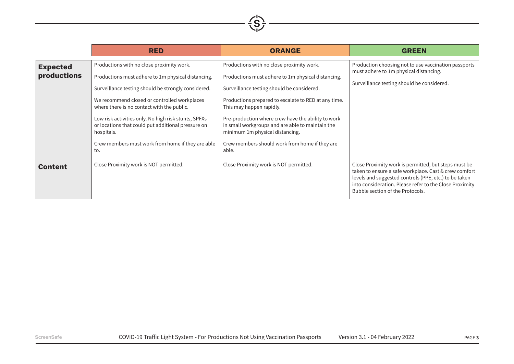

|                                | <b>RED</b>                                                                                                                                                                                                                                                                                                                                                                                                                                   | <b>ORANGE</b>                                                                                                                                                                                                                                                                                                                                                                                                                             | <b>GREEN</b>                                                                                                                                                                                                                                                          |
|--------------------------------|----------------------------------------------------------------------------------------------------------------------------------------------------------------------------------------------------------------------------------------------------------------------------------------------------------------------------------------------------------------------------------------------------------------------------------------------|-------------------------------------------------------------------------------------------------------------------------------------------------------------------------------------------------------------------------------------------------------------------------------------------------------------------------------------------------------------------------------------------------------------------------------------------|-----------------------------------------------------------------------------------------------------------------------------------------------------------------------------------------------------------------------------------------------------------------------|
| <b>Expected</b><br>productions | Productions with no close proximity work.<br>Productions must adhere to 1m physical distancing.<br>Surveillance testing should be strongly considered.<br>We recommend closed or controlled workplaces<br>where there is no contact with the public.<br>Low risk activities only. No high risk stunts, SPFXs<br>or locations that could put additional pressure on<br>hospitals.<br>Crew members must work from home if they are able<br>to. | Productions with no close proximity work.<br>Productions must adhere to 1m physical distancing.<br>Surveillance testing should be considered.<br>Productions prepared to escalate to RED at any time.<br>This may happen rapidly.<br>Pre-production where crew have the ability to work<br>in small workgroups and are able to maintain the<br>minimum 1m physical distancing.<br>Crew members should work from home if they are<br>able. | Production choosing not to use vaccination passports<br>must adhere to 1m physical distancing.<br>Surveillance testing should be considered.                                                                                                                          |
| <b>Content</b>                 | Close Proximity work is NOT permitted.                                                                                                                                                                                                                                                                                                                                                                                                       | Close Proximity work is NOT permitted.                                                                                                                                                                                                                                                                                                                                                                                                    | Close Proximity work is permitted, but steps must be<br>taken to ensure a safe workplace. Cast & crew comfort<br>levels and suggested controls (PPE, etc.) to be taken<br>into consideration. Please refer to the Close Proximity<br>Bubble section of the Protocols. |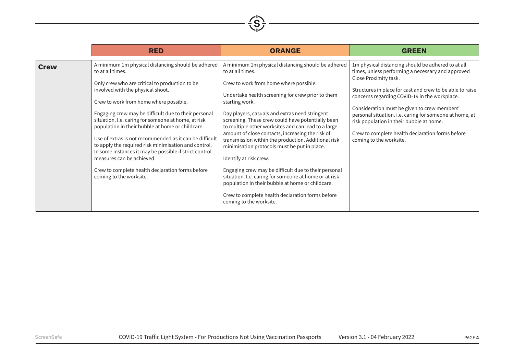|             | <b>RED</b>                                                                                                                                                                                                                                                                                                                                                                                                                                                                                                                                                                                                                                                          | <b>ORANGE</b>                                                                                                                                                                                                                                                                                                                                                                                                                                                                                                                                                                                                                                                                                                                                                                                  | <b>GREEN</b>                                                                                                                                                                                                                                                                                                                                                                                                                                                                         |
|-------------|---------------------------------------------------------------------------------------------------------------------------------------------------------------------------------------------------------------------------------------------------------------------------------------------------------------------------------------------------------------------------------------------------------------------------------------------------------------------------------------------------------------------------------------------------------------------------------------------------------------------------------------------------------------------|------------------------------------------------------------------------------------------------------------------------------------------------------------------------------------------------------------------------------------------------------------------------------------------------------------------------------------------------------------------------------------------------------------------------------------------------------------------------------------------------------------------------------------------------------------------------------------------------------------------------------------------------------------------------------------------------------------------------------------------------------------------------------------------------|--------------------------------------------------------------------------------------------------------------------------------------------------------------------------------------------------------------------------------------------------------------------------------------------------------------------------------------------------------------------------------------------------------------------------------------------------------------------------------------|
| <b>Crew</b> | A minimum 1m physical distancing should be adhered<br>to at all times.<br>Only crew who are critical to production to be<br>involved with the physical shoot.<br>Crew to work from home where possible.<br>Engaging crew may be difficult due to their personal<br>situation. I.e. caring for someone at home, at risk<br>population in their bubble at home or childcare.<br>Use of extras is not recommended as it can be difficult<br>to apply the required risk minimisation and control.<br>In some instances it may be possible if strict control<br>measures can be achieved.<br>Crew to complete health declaration forms before<br>coming to the worksite. | A minimum 1m physical distancing should be adhered<br>to at all times.<br>Crew to work from home where possible.<br>Undertake health screening for crew prior to them<br>starting work.<br>Day players, casuals and extras need stringent<br>screening. These crew could have potentially been<br>to multiple other worksites and can lead to a large<br>amount of close contacts, increasing the risk of<br>transmission within the production. Additional risk<br>minimisation protocols must be put in place.<br>Identify at risk crew.<br>Engaging crew may be difficult due to their personal<br>situation. I.e. caring for someone at home or at risk<br>population in their bubble at home or childcare.<br>Crew to complete health declaration forms before<br>coming to the worksite. | 1m physical distancing should be adhered to at all<br>times, unless performing a necessary and approved<br>Close Proximity task.<br>Structures in place for cast and crew to be able to raise<br>concerns regarding COVID-19 in the workplace.<br>Consideration must be given to crew members'<br>personal situation. i.e. caring for someone at home, at<br>risk population in their bubble at home.<br>Crew to complete health declaration forms before<br>coming to the worksite. |

 $\left(\frac{1}{S}\right)$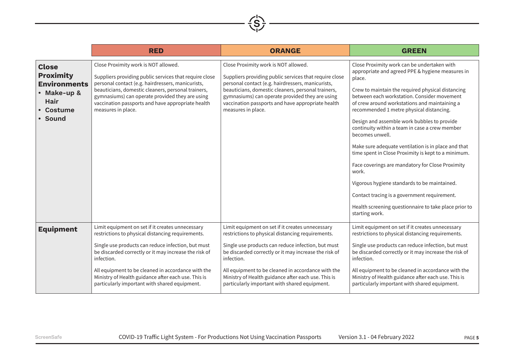

|                                                                                                               | <b>RED</b>                                                                                                                                                                                                                                                                                                                                                                                       | <b>ORANGE</b>                                                                                                                                                                                                                                                                                                                                                                                    | <b>GREEN</b>                                                                                                                                                                                                                                                                                                                                                                                                                                                                                                                                                                                                                                                                                                                                                                         |
|---------------------------------------------------------------------------------------------------------------|--------------------------------------------------------------------------------------------------------------------------------------------------------------------------------------------------------------------------------------------------------------------------------------------------------------------------------------------------------------------------------------------------|--------------------------------------------------------------------------------------------------------------------------------------------------------------------------------------------------------------------------------------------------------------------------------------------------------------------------------------------------------------------------------------------------|--------------------------------------------------------------------------------------------------------------------------------------------------------------------------------------------------------------------------------------------------------------------------------------------------------------------------------------------------------------------------------------------------------------------------------------------------------------------------------------------------------------------------------------------------------------------------------------------------------------------------------------------------------------------------------------------------------------------------------------------------------------------------------------|
| <b>Close</b><br><b>Proximity</b><br><b>Environments</b><br>• Make-up &<br><b>Hair</b><br>• Costume<br>• Sound | Close Proximity work is NOT allowed.<br>Suppliers providing public services that require close<br>personal contact (e.g. hairdressers, manicurists,<br>beauticians, domestic cleaners, personal trainers,<br>gymnasiums) can operate provided they are using<br>vaccination passports and have appropriate health<br>measures in place.                                                          | Close Proximity work is NOT allowed.<br>Suppliers providing public services that require close<br>personal contact (e.g. hairdressers, manicurists,<br>beauticians, domestic cleaners, personal trainers,<br>gymnasiums) can operate provided they are using<br>vaccination passports and have appropriate health<br>measures in place.                                                          | Close Proximity work can be undertaken with<br>appropriate and agreed PPE & hygiene measures in<br>place.<br>Crew to maintain the required physical distancing<br>between each workstation. Consider movement<br>of crew around workstations and maintaining a<br>recommended 1 metre physical distancing.<br>Design and assemble work bubbles to provide<br>continuity within a team in case a crew member<br>becomes unwell.<br>Make sure adequate ventilation is in place and that<br>time spent in Close Proximity is kept to a minimum.<br>Face coverings are mandatory for Close Proximity<br>work.<br>Vigorous hygiene standards to be maintained.<br>Contact tracing is a government requirement.<br>Health screening questionnaire to take place prior to<br>starting work. |
| <b>Equipment</b>                                                                                              | Limit equipment on set if it creates unnecessary<br>restrictions to physical distancing requirements.<br>Single use products can reduce infection, but must<br>be discarded correctly or it may increase the risk of<br>infection.<br>All equipment to be cleaned in accordance with the<br>Ministry of Health guidance after each use. This is<br>particularly important with shared equipment. | Limit equipment on set if it creates unnecessary<br>restrictions to physical distancing requirements.<br>Single use products can reduce infection, but must<br>be discarded correctly or it may increase the risk of<br>infection.<br>All equipment to be cleaned in accordance with the<br>Ministry of Health guidance after each use. This is<br>particularly important with shared equipment. | Limit equipment on set if it creates unnecessary<br>restrictions to physical distancing requirements.<br>Single use products can reduce infection, but must<br>be discarded correctly or it may increase the risk of<br>infection.<br>All equipment to be cleaned in accordance with the<br>Ministry of Health guidance after each use. This is<br>particularly important with shared equipment.                                                                                                                                                                                                                                                                                                                                                                                     |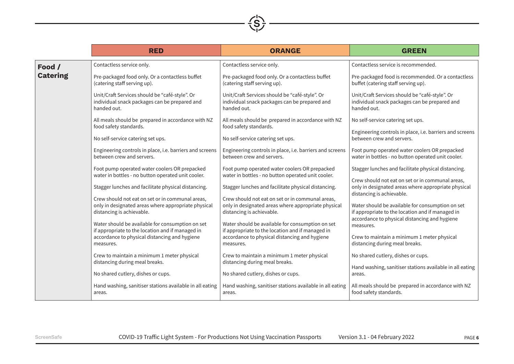

|                 | <b>RED</b>                                                                                                                           | <b>ORANGE</b>                                                                                                                        | <b>GREEN</b>                                                                                                                                          |
|-----------------|--------------------------------------------------------------------------------------------------------------------------------------|--------------------------------------------------------------------------------------------------------------------------------------|-------------------------------------------------------------------------------------------------------------------------------------------------------|
| Food /          | Contactless service only.                                                                                                            | Contactless service only.                                                                                                            | Contactless service is recommended.                                                                                                                   |
| <b>Catering</b> | Pre-packaged food only. Or a contactless buffet<br>(catering staff serving up).                                                      | Pre-packaged food only. Or a contactless buffet<br>(catering staff serving up).                                                      | Pre-packaged food is recommended. Or a contactless<br>buffet (catering staff serving up).                                                             |
|                 | Unit/Craft Services should be "café-style". Or<br>individual snack packages can be prepared and<br>handed out.                       | Unit/Craft Services should be "café-style". Or<br>individual snack packages can be prepared and<br>handed out.                       | Unit/Craft Services should be "café-style". Or<br>individual snack packages can be prepared and<br>handed out.                                        |
|                 | All meals should be prepared in accordance with NZ<br>food safety standards.                                                         | All meals should be prepared in accordance with NZ<br>food safety standards.                                                         | No self-service catering set ups.                                                                                                                     |
|                 | No self-service catering set ups.                                                                                                    | No self-service catering set ups.                                                                                                    | Engineering controls in place, i.e. barriers and screens<br>between crew and servers.                                                                 |
|                 | Engineering controls in place, i.e. barriers and screens<br>between crew and servers.                                                | Engineering controls in place, i.e. barriers and screens<br>between crew and servers.                                                | Foot pump operated water coolers OR prepacked<br>water in bottles - no button operated unit cooler.                                                   |
|                 | Foot pump operated water coolers OR prepacked<br>water in bottles - no button operated unit cooler.                                  | Foot pump operated water coolers OR prepacked<br>water in bottles - no button operated unit cooler.                                  | Stagger lunches and facilitate physical distancing.                                                                                                   |
|                 | Stagger lunches and facilitate physical distancing.                                                                                  | Stagger lunches and facilitate physical distancing.                                                                                  | Crew should not eat on set or in communal areas,<br>only in designated areas where appropriate physical<br>distancing is achievable.                  |
|                 | Crew should not eat on set or in communal areas,<br>only in designated areas where appropriate physical<br>distancing is achievable. | Crew should not eat on set or in communal areas,<br>only in designated areas where appropriate physical<br>distancing is achievable. | Water should be available for consumption on set<br>if appropriate to the location and if managed in<br>accordance to physical distancing and hygiene |
|                 | Water should be available for consumption on set<br>if appropriate to the location and if managed in                                 | Water should be available for consumption on set<br>if appropriate to the location and if managed in                                 | measures.                                                                                                                                             |
|                 | accordance to physical distancing and hygiene<br>measures.                                                                           | accordance to physical distancing and hygiene<br>measures.                                                                           | Crew to maintain a minimum 1 meter physical<br>distancing during meal breaks.                                                                         |
|                 | Crew to maintain a minimum 1 meter physical<br>distancing during meal breaks.                                                        | Crew to maintain a minimum 1 meter physical<br>distancing during meal breaks.                                                        | No shared cutlery, dishes or cups.                                                                                                                    |
|                 | No shared cutlery, dishes or cups.                                                                                                   | No shared cutlery, dishes or cups.                                                                                                   | Hand washing, sanitiser stations available in all eating<br>areas.                                                                                    |
|                 | Hand washing, sanitiser stations available in all eating<br>areas.                                                                   | Hand washing, sanitiser stations available in all eating<br>areas.                                                                   | All meals should be prepared in accordance with NZ<br>food safety standards.                                                                          |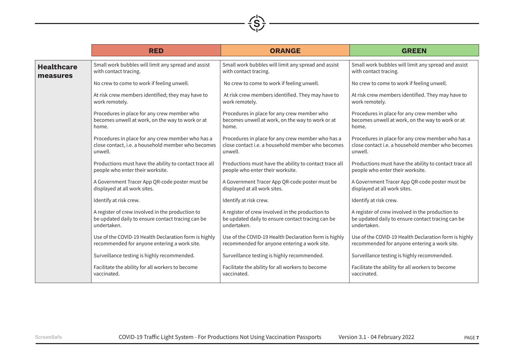|                   | <b>RED</b>                                             | <b>ORANGE</b>                                          | <b>GREEN</b>                                           |
|-------------------|--------------------------------------------------------|--------------------------------------------------------|--------------------------------------------------------|
| <b>Healthcare</b> | Small work bubbles will limit any spread and assist    | Small work bubbles will limit any spread and assist    | Small work bubbles will limit any spread and assist    |
| measures          | with contact tracing.                                  | with contact tracing.                                  | with contact tracing.                                  |
|                   | No crew to come to work if feeling unwell.             | No crew to come to work if feeling unwell.             | No crew to come to work if feeling unwell.             |
|                   | At risk crew members identified; they may have to      | At risk crew members identified. They may have to      | At risk crew members identified. They may have to      |
|                   | work remotely.                                         | work remotely.                                         | work remotely.                                         |
|                   | Procedures in place for any crew member who            | Procedures in place for any crew member who            | Procedures in place for any crew member who            |
|                   | becomes unwell at work, on the way to work or at       | becomes unwell at work, on the way to work or at       | becomes unwell at work, on the way to work or at       |
|                   | home.                                                  | home.                                                  | home.                                                  |
|                   | Procedures in place for any crew member who has a      | Procedures in place for any crew member who has a      | Procedures in place for any crew member who has a      |
|                   | close contact, i.e. a household member who becomes     | close contact i.e. a household member who becomes      | close contact i.e. a household member who becomes      |
|                   | unwell.                                                | unwell.                                                | unwell.                                                |
|                   | Productions must have the ability to contact trace all | Productions must have the ability to contact trace all | Productions must have the ability to contact trace all |
|                   | people who enter their worksite.                       | people who enter their worksite.                       | people who enter their worksite.                       |
|                   | A Government Tracer App QR-code poster must be         | A Government Tracer App QR-code poster must be         | A Government Tracer App QR-code poster must be         |
|                   | displayed at all work sites.                           | displayed at all work sites.                           | displayed at all work sites.                           |
|                   | Identify at risk crew.                                 | Identify at risk crew.                                 | Identify at risk crew.                                 |
|                   | A register of crew involved in the production to       | A register of crew involved in the production to       | A register of crew involved in the production to       |
|                   | be updated daily to ensure contact tracing can be      | be updated daily to ensure contact tracing can be      | be updated daily to ensure contact tracing can be      |
|                   | undertaken.                                            | undertaken.                                            | undertaken.                                            |
|                   | Use of the COVID-19 Health Declaration form is highly  | Use of the COVID-19 Health Declaration form is highly  | Use of the COVID-19 Health Declaration form is highly  |
|                   | recommended for anyone entering a work site.           | recommended for anyone entering a work site.           | recommended for anyone entering a work site.           |
|                   | Surveillance testing is highly recommended.            | Surveillance testing is highly recommended.            | Surveillance testing is highly recommended.            |
|                   | Facilitate the ability for all workers to become       | Facilitate the ability for all workers to become       | Facilitate the ability for all workers to become       |
|                   | vaccinated.                                            | vaccinated.                                            | vaccinated.                                            |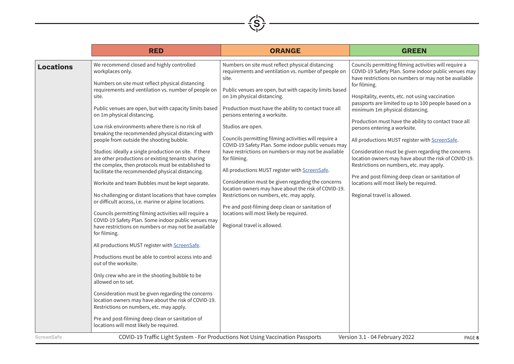

|                                | <b>RED</b>                                                                                                                                                                                                                                                                                                                                                                                                                                                                                                                                                                                                                                                                                                                                                                                                                                                                                                                                                                                                                                                                                                                                                                                                                                                                                                                                                                                                                                                                             | <b>ORANGE</b>                                                                                                                                                                                                                                                                                                                                                                                                                                                                                                                                                                                                                                                                                                                                                                                                                                                                                                                                | <b>GREEN</b>                                                                                                                                                                                                                                                                                                                                                                                                                                                                                                                                                                                                                                                                                                                                                                                                      |
|--------------------------------|----------------------------------------------------------------------------------------------------------------------------------------------------------------------------------------------------------------------------------------------------------------------------------------------------------------------------------------------------------------------------------------------------------------------------------------------------------------------------------------------------------------------------------------------------------------------------------------------------------------------------------------------------------------------------------------------------------------------------------------------------------------------------------------------------------------------------------------------------------------------------------------------------------------------------------------------------------------------------------------------------------------------------------------------------------------------------------------------------------------------------------------------------------------------------------------------------------------------------------------------------------------------------------------------------------------------------------------------------------------------------------------------------------------------------------------------------------------------------------------|----------------------------------------------------------------------------------------------------------------------------------------------------------------------------------------------------------------------------------------------------------------------------------------------------------------------------------------------------------------------------------------------------------------------------------------------------------------------------------------------------------------------------------------------------------------------------------------------------------------------------------------------------------------------------------------------------------------------------------------------------------------------------------------------------------------------------------------------------------------------------------------------------------------------------------------------|-------------------------------------------------------------------------------------------------------------------------------------------------------------------------------------------------------------------------------------------------------------------------------------------------------------------------------------------------------------------------------------------------------------------------------------------------------------------------------------------------------------------------------------------------------------------------------------------------------------------------------------------------------------------------------------------------------------------------------------------------------------------------------------------------------------------|
| <b>Locations</b><br>ScreenSafe | We recommend closed and highly controlled<br>workplaces only.<br>Numbers on site must reflect physical distancing<br>requirements and ventilation vs. number of people on<br>site.<br>Public venues are open, but with capacity limits based<br>on 1m physical distancing.<br>Low risk environments where there is no risk of<br>breaking the recommended physical distancing with<br>people from outside the shooting bubble.<br>Studios: ideally a single production on site. If there<br>are other productions or existing tenants sharing<br>the complex, then protocols must be established to<br>facilitate the recommended physical distancing.<br>Worksite and team Bubbles must be kept separate.<br>No challenging or distant locations that have complex<br>or difficult access, i.e. marine or alpine locations.<br>Councils permitting filming activities will require a<br>COVID-19 Safety Plan. Some indoor public venues may<br>have restrictions on numbers or may not be available<br>for filming.<br>All productions MUST register with ScreenSafe.<br>Productions must be able to control access into and<br>out of the worksite.<br>Only crew who are in the shooting bubble to be<br>allowed on to set.<br>Consideration must be given regarding the concerns<br>location owners may have about the risk of COVID-19.<br>Restrictions on numbers, etc. may apply.<br>Pre and post-filming deep clean or sanitation of<br>locations will most likely be required. | Numbers on site must reflect physical distancing<br>requirements and ventilation vs. number of people on<br>site.<br>Public venues are open, but with capacity limits based<br>on 1m physical distancing.<br>Production must have the ability to contact trace all<br>persons entering a worksite.<br>Studios are open.<br>Councils permitting filming activities will require a<br>COVID-19 Safety Plan. Some indoor public venues may<br>have restrictions on numbers or may not be available<br>for filming.<br>All productions MUST register with ScreenSafe.<br>Consideration must be given regarding the concerns<br>location owners may have about the risk of COVID-19.<br>Restrictions on numbers, etc. may apply.<br>Pre and post-filming deep clean or sanitation of<br>locations will most likely be required.<br>Regional travel is allowed.<br>COVID-19 Traffic Light System - For Productions Not Using Vaccination Passports | Councils permitting filming activities will require a<br>COVID-19 Safety Plan. Some indoor public venues may<br>have restrictions on numbers or may not be available<br>for filming.<br>Hospitality, events, etc. not using vaccination<br>passports are limited to up to 100 people based on a<br>minimum 1m physical distancing.<br>Production must have the ability to contact trace all<br>persons entering a worksite.<br>All productions MUST register with ScreenSafe.<br>Consideration must be given regarding the concerns<br>location owners may have about the risk of COVID-19.<br>Restrictions on numbers, etc. may apply.<br>Pre and post-filming deep clean or sanitation of<br>locations will most likely be required.<br>Regional travel is allowed.<br>Version 3.1 - 04 February 2022<br>PAGE 8 |
|                                |                                                                                                                                                                                                                                                                                                                                                                                                                                                                                                                                                                                                                                                                                                                                                                                                                                                                                                                                                                                                                                                                                                                                                                                                                                                                                                                                                                                                                                                                                        |                                                                                                                                                                                                                                                                                                                                                                                                                                                                                                                                                                                                                                                                                                                                                                                                                                                                                                                                              |                                                                                                                                                                                                                                                                                                                                                                                                                                                                                                                                                                                                                                                                                                                                                                                                                   |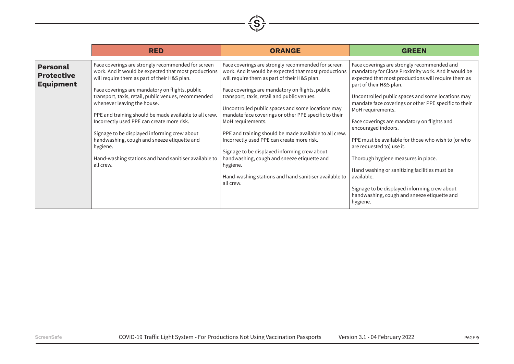

|                                                          | <b>RED</b>                                                                                                                                                                                                                                                                                                                                                                                                                                                                                                                                                                                    | <b>ORANGE</b>                                                                                                                                                                                                                                                                                                                                                                                                                                                                                                                                                                                                                                                                            | <b>GREEN</b>                                                                                                                                                                                                                                                                                                                                                                                                                                                                                                                                                                                                                                                                                       |
|----------------------------------------------------------|-----------------------------------------------------------------------------------------------------------------------------------------------------------------------------------------------------------------------------------------------------------------------------------------------------------------------------------------------------------------------------------------------------------------------------------------------------------------------------------------------------------------------------------------------------------------------------------------------|------------------------------------------------------------------------------------------------------------------------------------------------------------------------------------------------------------------------------------------------------------------------------------------------------------------------------------------------------------------------------------------------------------------------------------------------------------------------------------------------------------------------------------------------------------------------------------------------------------------------------------------------------------------------------------------|----------------------------------------------------------------------------------------------------------------------------------------------------------------------------------------------------------------------------------------------------------------------------------------------------------------------------------------------------------------------------------------------------------------------------------------------------------------------------------------------------------------------------------------------------------------------------------------------------------------------------------------------------------------------------------------------------|
| <b>Personal</b><br><b>Protective</b><br><b>Equipment</b> | Face coverings are strongly recommended for screen<br>work. And it would be expected that most productions<br>will require them as part of their H&S plan.<br>Face coverings are mandatory on flights, public<br>transport, taxis, retail, public venues, recommended<br>whenever leaving the house.<br>PPE and training should be made available to all crew.<br>Incorrectly used PPE can create more risk.<br>Signage to be displayed informing crew about<br>handwashing, cough and sneeze etiquette and<br>hygiene.<br>Hand-washing stations and hand sanitiser available to<br>all crew. | Face coverings are strongly recommended for screen<br>work. And it would be expected that most productions<br>will require them as part of their H&S plan.<br>Face coverings are mandatory on flights, public<br>transport, taxis, retail and public venues.<br>Uncontrolled public spaces and some locations may<br>mandate face coverings or other PPE specific to their<br>MoH requirements.<br>PPE and training should be made available to all crew.<br>Incorrectly used PPE can create more risk.<br>Signage to be displayed informing crew about<br>handwashing, cough and sneeze etiquette and<br>hygiene.<br>Hand-washing stations and hand sanitiser available to<br>all crew. | Face coverings are strongly recommended and<br>mandatory for Close Proximity work. And it would be<br>expected that most productions will require them as<br>part of their H&S plan.<br>Uncontrolled public spaces and some locations may<br>mandate face coverings or other PPE specific to their<br>MoH requirements.<br>Face coverings are mandatory on flights and<br>encouraged indoors.<br>PPE must be available for those who wish to (or who<br>are requested to) use it.<br>Thorough hygiene measures in place.<br>Hand washing or sanitizing facilities must be<br>available.<br>Signage to be displayed informing crew about<br>handwashing, cough and sneeze etiquette and<br>hygiene. |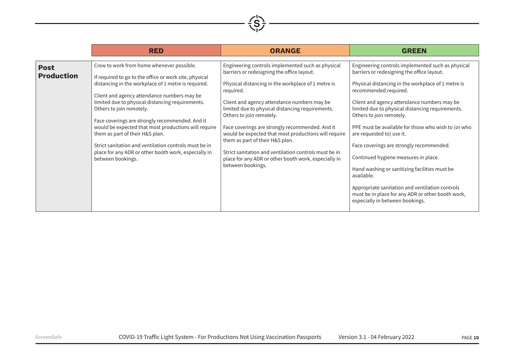|                                  | <b>RED</b>                                                                                                                                                                                                                                                                                                                                                                                                                                                                                                                                                                    | <b>ORANGE</b>                                                                                                                                                                                                                                                                                                                                                                                                                                                                                                                                                                         | <b>GREEN</b>                                                                                                                                                                                                                                                                                                                                                                                                                                                                                                                                                                                                                                                                                    |
|----------------------------------|-------------------------------------------------------------------------------------------------------------------------------------------------------------------------------------------------------------------------------------------------------------------------------------------------------------------------------------------------------------------------------------------------------------------------------------------------------------------------------------------------------------------------------------------------------------------------------|---------------------------------------------------------------------------------------------------------------------------------------------------------------------------------------------------------------------------------------------------------------------------------------------------------------------------------------------------------------------------------------------------------------------------------------------------------------------------------------------------------------------------------------------------------------------------------------|-------------------------------------------------------------------------------------------------------------------------------------------------------------------------------------------------------------------------------------------------------------------------------------------------------------------------------------------------------------------------------------------------------------------------------------------------------------------------------------------------------------------------------------------------------------------------------------------------------------------------------------------------------------------------------------------------|
| <b>Post</b><br><b>Production</b> | Crew to work from home whenever possible.<br>If required to go to the office or work site, physical<br>distancing in the workplace of 1 metre is required.<br>Client and agency attendance numbers may be<br>limited due to physical distancing requirements.<br>Others to join remotely.<br>Face coverings are strongly recommended. And it<br>would be expected that most productions will require<br>them as part of their H&S plan.<br>Strict sanitation and ventilation controls must be in<br>place for any ADR or other booth work, especially in<br>between bookings. | Engineering controls implemented such as physical<br>barriers or redesigning the office layout.<br>Physical distancing in the workplace of 1 metre is<br>required.<br>Client and agency attendance numbers may be<br>limited due to physical distancing requirements.<br>Others to join remotely.<br>Face coverings are strongly recommended. And it<br>would be expected that most productions will require<br>them as part of their H&S plan.<br>Strict sanitation and ventilation controls must be in<br>place for any ADR or other booth work, especially in<br>between bookings. | Engineering controls implemented such as physical<br>barriers or redesigning the office layout.<br>Physical distancing in the workplace of 1 metre is<br>recommended.required.<br>Client and agency attendance numbers may be<br>limited due to physical distancing requirements.<br>Others to join remotely.<br>PPE must be available for those who wish to (or who<br>are requested to) use it.<br>Face coverings are strongly recommended.<br>Continued hygiene measures in place.<br>Hand washing or sanitizing facilities must be<br>available.<br>Appropriate sanitation and ventilation controls<br>must be in place for any ADR or other booth work,<br>especially in between bookings. |

 $\left(\frac{1}{S}\right)$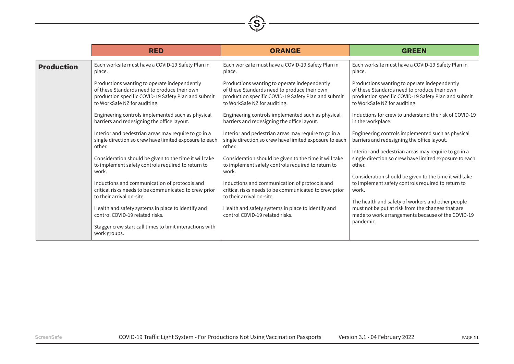| L |
|---|
|---|

|                   | <b>RED</b>                                                                                                               | <b>ORANGE</b>                                                                                                            | <b>GREEN</b>                                                                                                                                                             |
|-------------------|--------------------------------------------------------------------------------------------------------------------------|--------------------------------------------------------------------------------------------------------------------------|--------------------------------------------------------------------------------------------------------------------------------------------------------------------------|
| <b>Production</b> | Each worksite must have a COVID-19 Safety Plan in                                                                        | Each worksite must have a COVID-19 Safety Plan in                                                                        | Each worksite must have a COVID-19 Safety Plan in                                                                                                                        |
|                   | place.                                                                                                                   | place.                                                                                                                   | place.                                                                                                                                                                   |
|                   | Productions wanting to operate independently                                                                             | Productions wanting to operate independently                                                                             | Productions wanting to operate independently                                                                                                                             |
|                   | of these Standards need to produce their own                                                                             | of these Standards need to produce their own                                                                             | of these Standards need to produce their own                                                                                                                             |
|                   | production specific COVID-19 Safety Plan and submit                                                                      | production specific COVID-19 Safety Plan and submit                                                                      | production specific COVID-19 Safety Plan and submit                                                                                                                      |
|                   | to WorkSafe NZ for auditing.                                                                                             | to WorkSafe NZ for auditing.                                                                                             | to WorkSafe NZ for auditing.                                                                                                                                             |
|                   | Engineering controls implemented such as physical                                                                        | Engineering controls implemented such as physical                                                                        | Inductions for crew to understand the risk of COVID-19                                                                                                                   |
|                   | barriers and redesigning the office layout.                                                                              | barriers and redesigning the office layout.                                                                              | in the workplace.                                                                                                                                                        |
|                   | Interior and pedestrian areas may require to go in a<br>single direction so crew have limited exposure to each<br>other. | Interior and pedestrian areas may require to go in a<br>single direction so crew have limited exposure to each<br>other. | Engineering controls implemented such as physical<br>barriers and redesigning the office layout.                                                                         |
|                   | Consideration should be given to the time it will take                                                                   | Consideration should be given to the time it will take                                                                   | Interior and pedestrian areas may require to go in a                                                                                                                     |
|                   | to implement safety controls required to return to                                                                       | to implement safety controls required to return to                                                                       | single direction so crew have limited exposure to each                                                                                                                   |
|                   | work.                                                                                                                    | work.                                                                                                                    | other.                                                                                                                                                                   |
|                   | Inductions and communication of protocols and                                                                            | Inductions and communication of protocols and                                                                            | Consideration should be given to the time it will take                                                                                                                   |
|                   | critical risks needs to be communicated to crew prior                                                                    | critical risks needs to be communicated to crew prior                                                                    | to implement safety controls required to return to                                                                                                                       |
|                   | to their arrival on-site.                                                                                                | to their arrival on-site.                                                                                                | work.                                                                                                                                                                    |
|                   | Health and safety systems in place to identify and<br>control COVID-19 related risks.                                    | Health and safety systems in place to identify and<br>control COVID-19 related risks.                                    | The health and safety of workers and other people<br>must not be put at risk from the changes that are<br>made to work arrangements because of the COVID-19<br>pandemic. |
|                   | Stagger crew start call times to limit interactions with<br>work groups.                                                 |                                                                                                                          |                                                                                                                                                                          |